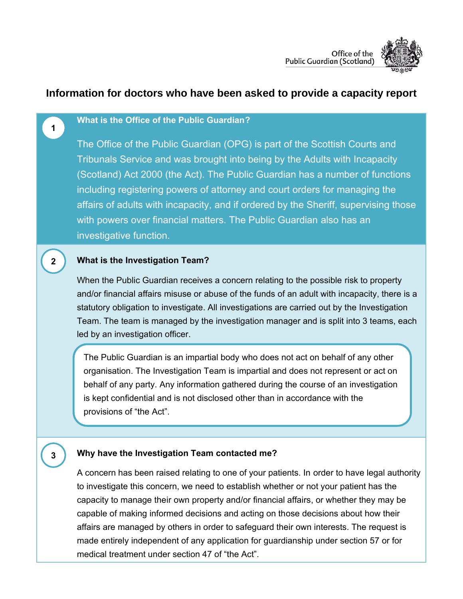

# **Information for doctors who have been asked to provide a capacity report**

#### **What is the Office of the Public Guardian?**

**1**

**2**

**3**

The Office of the Public Guardian (OPG) is part of the Scottish Courts and Tribunals Service and was brought into being by the Adults with Incapacity (Scotland) Act 2000 (the Act). The Public Guardian has a number of functions including registering powers of attorney and court orders for managing the affairs of adults with incapacity, and if ordered by the Sheriff, supervising those with powers over financial matters. The Public Guardian also has an investigative function.

### **What is the Investigation Team?**

When the Public Guardian receives a concern relating to the possible risk to property and/or financial affairs misuse or abuse of the funds of an adult with incapacity, there is a statutory obligation to investigate. All investigations are carried out by the Investigation Team. The team is managed by the investigation manager and is split into 3 teams, each led by an investigation officer.

The Public Guardian is an impartial body who does not act on behalf of any other organisation. The Investigation Team is impartial and does not represent or act on behalf of any party. Any information gathered during the course of an investigation is kept confidential and is not disclosed other than in accordance with the provisions of "the Act".

#### **Why have the Investigation Team contacted me?**

A concern has been raised relating to one of your patients. In order to have legal authority to investigate this concern, we need to establish whether or not your patient has the capacity to manage their own property and/or financial affairs, or whether they may be capable of making informed decisions and acting on those decisions about how their affairs are managed by others in order to safeguard their own interests. The request is made entirely independent of any application for guardianship under section 57 or for medical treatment under section 47 of "the Act".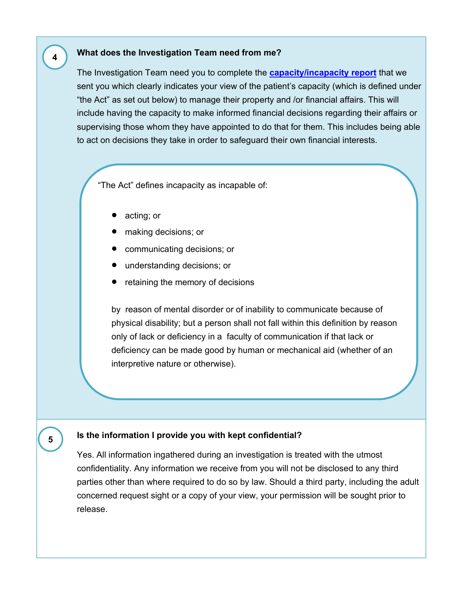### **What does the Investigation Team need from me?**

The Investigation Team need you to complete the **[capacity/incapacity report](http://www.publicguardian-scotland.gov.uk/docs/librariesprovider3/investigations/pdf-files/guidance-amp-capacity-or-incapacity-report.pdf?sfvrsn=4)** that we sent you which clearly indicates your view of the patient's capacity (which is defined under "the Act" as set out below) to manage their property and /or financial affairs. This will include having the capacity to make informed financial decisions regarding their affairs or supervising those whom they have appointed to do that for them. This includes being able to act on decisions they take in order to safeguard their own financial interests.

"The Act" defines incapacity as incapable of:

- acting; or
- making decisions; or
- communicating decisions; or
- understanding decisions; or
- retaining the memory of decisions

by reason of mental disorder or of inability to communicate because of physical disability; but a person shall not fall within this definition by reason only of lack or deficiency in a faculty of communication if that lack or deficiency can be made good by human or mechanical aid (whether of an interpretive nature or otherwise).

#### **Isthe information I provide you with kept confidential?**

Yes. All information ingathered during an investigation is treated with the utmost confidentiality. Any information we receive from you will not be disclosed to any third parties other than where required to do so by law. Should a third party, including the adult concerned request sight or a copy of your view, your permission will be sought prior to release.

**4**

**5**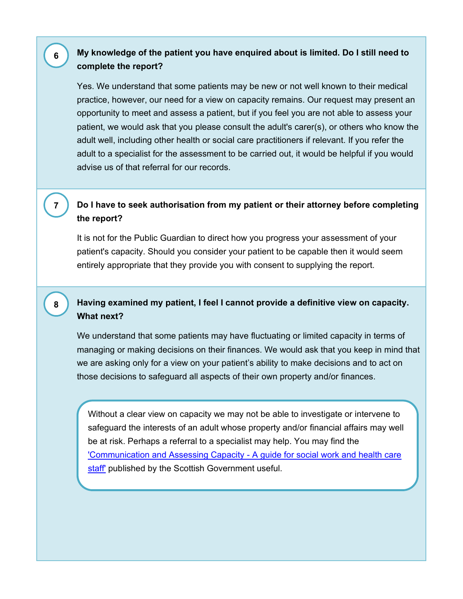### **My knowledge of the patient you have enquired about is limited. Do I still need to complete the report?**

Yes. We understand that some patients may be new or not well known to their medical practice, however, our need for a view on capacity remains. Our request may present an opportunity to meet and assess a patient, but if you feel you are not able to assess your patient, we would ask that you please consult the adult's carer(s), or others who know the adult well, including other health or social care practitioners if relevant. If you refer the adult to a specialist for the assessment to be carried out, it would be helpful if you would advise us of that referral for our records.

## **Do I have to seek authorisation from my patient or their attorney before completing the report?**

It is not for the Public Guardian to direct how you progress your assessment of your patient's capacity. Should you consider your patient to be capable then it would seem entirely appropriate that they provide you with consent to supplying the report.

### **Having examined my patient, I feel I cannot provide a definitive view on capacity. What next?**

We understand that some patients may have fluctuating or limited capacity in terms of managing or making decisions on their finances. We would ask that you keep in mind that we are asking only for a view on your patient's ability to make decisions and to act on those decisions to safeguard all aspects of their own property and/or finances.

Without a clear view on capacity we may not be able to investigate or intervene to safeguard the interests of an adult whose property and/or financial affairs may well be at risk. Perhaps a referral to a specialist may help. You may find the ['Communication and Assessing Capacity -](http://www.scotland.gov.uk/Publications/2008/02/01151101/0) A guide for social work and health care [staff'](http://www.scotland.gov.uk/Publications/2008/02/01151101/0) published by the Scottish Government useful.

**6**

**7**

**8**